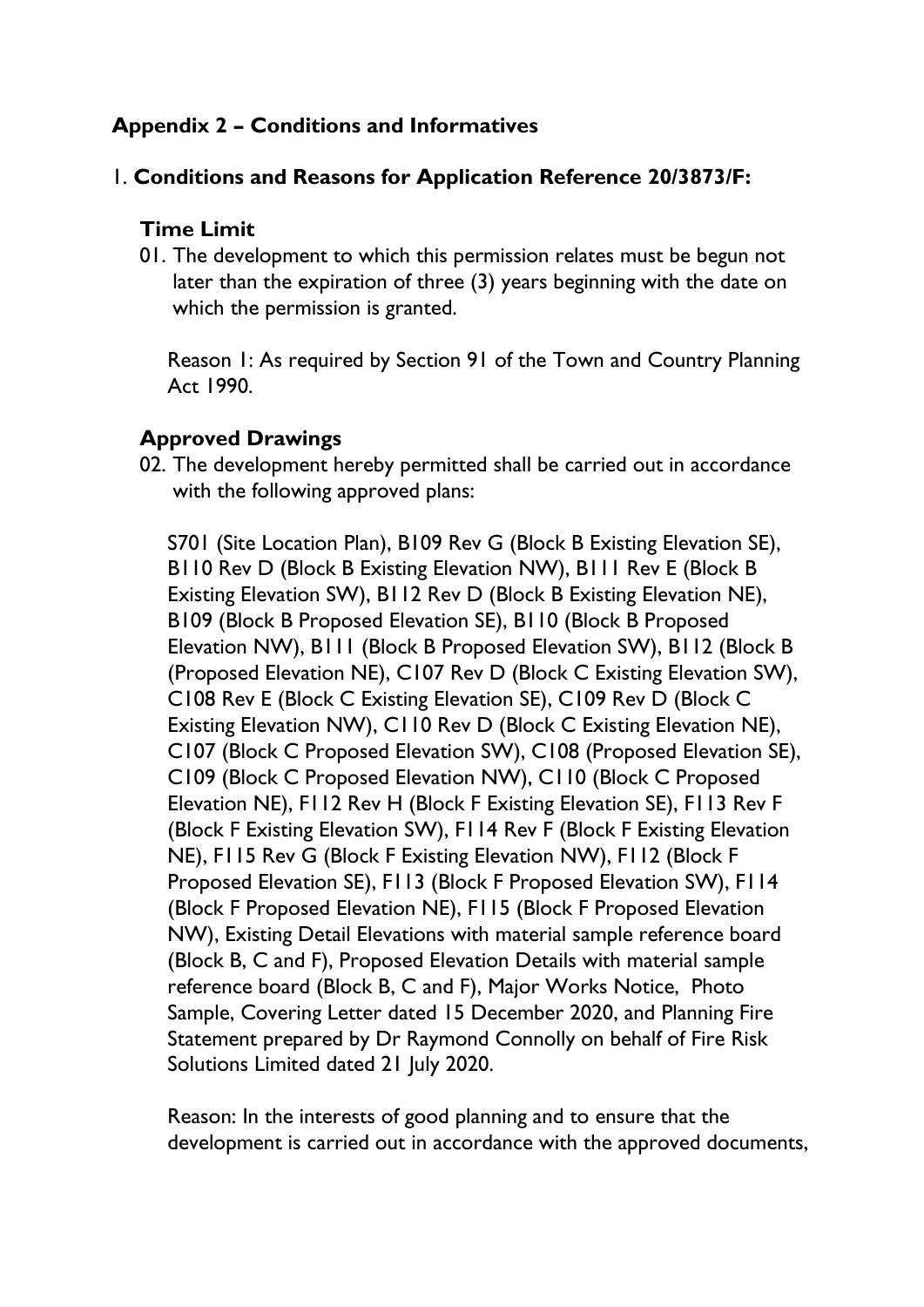# **Appendix 2 – Conditions and Informatives**

### 1. **Conditions and Reasons for Application Reference 20/3873/F:**

#### **Time Limit**

01. The development to which this permission relates must be begun not later than the expiration of three (3) years beginning with the date on which the permission is granted.

Reason 1: As required by Section 91 of the Town and Country Planning Act 1990.

## **Approved Drawings**

02. The development hereby permitted shall be carried out in accordance with the following approved plans:

S701 (Site Location Plan), B109 Rev G (Block B Existing Elevation SE), B110 Rev D (Block B Existing Elevation NW), B111 Rev E (Block B Existing Elevation SW), B112 Rev D (Block B Existing Elevation NE), B109 (Block B Proposed Elevation SE), B110 (Block B Proposed Elevation NW), B111 (Block B Proposed Elevation SW), B112 (Block B (Proposed Elevation NE), C107 Rev D (Block C Existing Elevation SW), C108 Rev E (Block C Existing Elevation SE), C109 Rev D (Block C Existing Elevation NW), C110 Rev D (Block C Existing Elevation NE), C107 (Block C Proposed Elevation SW), C108 (Proposed Elevation SE), C109 (Block C Proposed Elevation NW), C110 (Block C Proposed Elevation NE), F112 Rev H (Block F Existing Elevation SE), F113 Rev F (Block F Existing Elevation SW), F114 Rev F (Block F Existing Elevation NE), F115 Rev G (Block F Existing Elevation NW), F112 (Block F Proposed Elevation SE), F113 (Block F Proposed Elevation SW), F114 (Block F Proposed Elevation NE), F115 (Block F Proposed Elevation NW), Existing Detail Elevations with material sample reference board (Block B, C and F), Proposed Elevation Details with material sample reference board (Block B, C and F), Major Works Notice, Photo Sample, Covering Letter dated 15 December 2020, and Planning Fire Statement prepared by Dr Raymond Connolly on behalf of Fire Risk Solutions Limited dated 21 July 2020.

Reason: In the interests of good planning and to ensure that the development is carried out in accordance with the approved documents,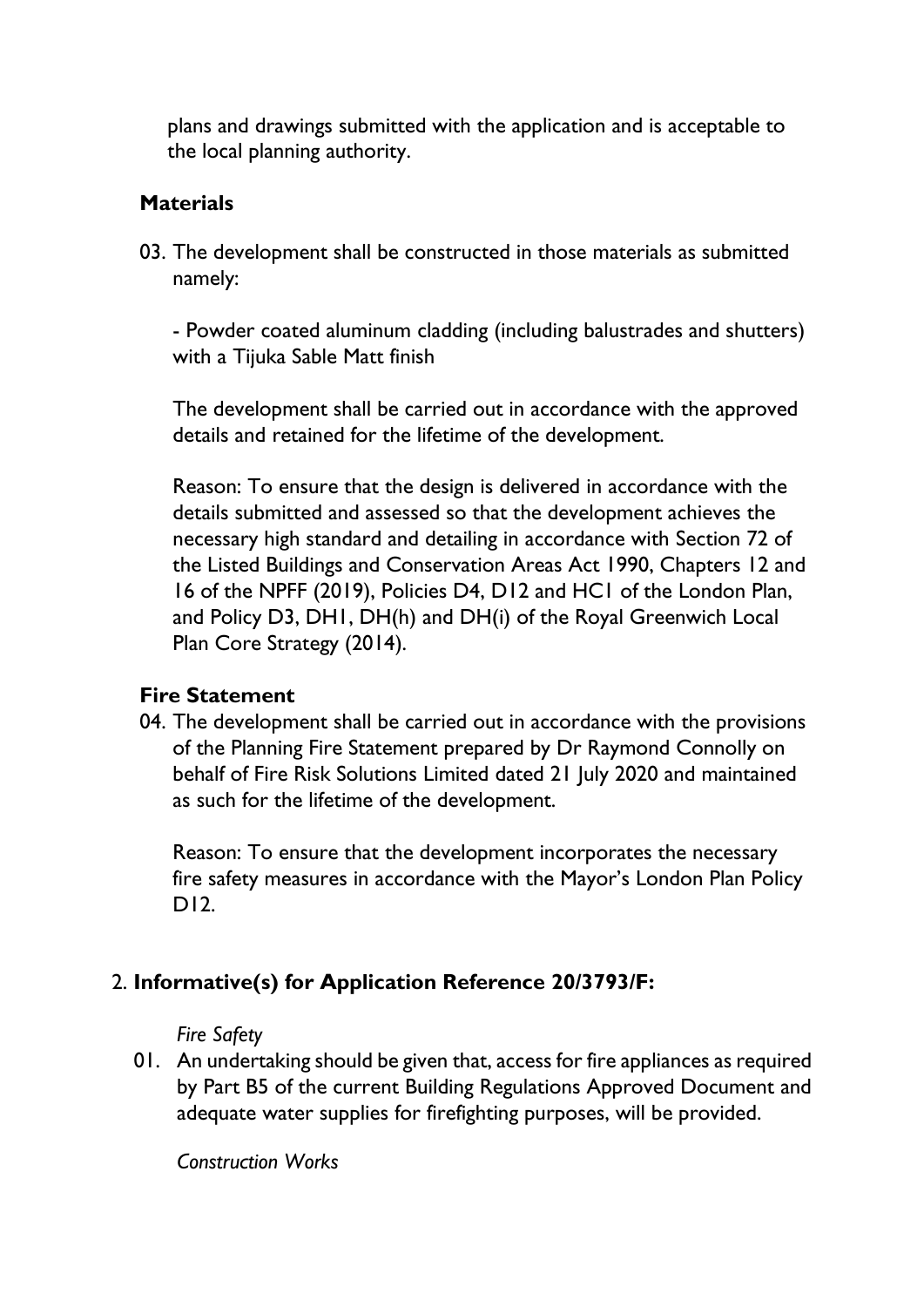plans and drawings submitted with the application and is acceptable to the local planning authority.

#### **Materials**

03. The development shall be constructed in those materials as submitted namely:

- Powder coated aluminum cladding (including balustrades and shutters) with a Tijuka Sable Matt finish

The development shall be carried out in accordance with the approved details and retained for the lifetime of the development.

Reason: To ensure that the design is delivered in accordance with the details submitted and assessed so that the development achieves the necessary high standard and detailing in accordance with Section 72 of the Listed Buildings and Conservation Areas Act 1990, Chapters 12 and 16 of the NPFF (2019), Policies D4, D12 and HC1 of the London Plan, and Policy D3, DH1, DH(h) and DH(i) of the Royal Greenwich Local Plan Core Strategy (2014).

#### **Fire Statement**

04. The development shall be carried out in accordance with the provisions of the Planning Fire Statement prepared by Dr Raymond Connolly on behalf of Fire Risk Solutions Limited dated 21 July 2020 and maintained as such for the lifetime of the development.

Reason: To ensure that the development incorporates the necessary fire safety measures in accordance with the Mayor's London Plan Policy D12.

## 2. **Informative(s) for Application Reference 20/3793/F:**

*Fire Safety* 

01. An undertaking should be given that, access for fire appliances as required by Part B5 of the current Building Regulations Approved Document and adequate water supplies for firefighting purposes, will be provided.

*Construction Works*